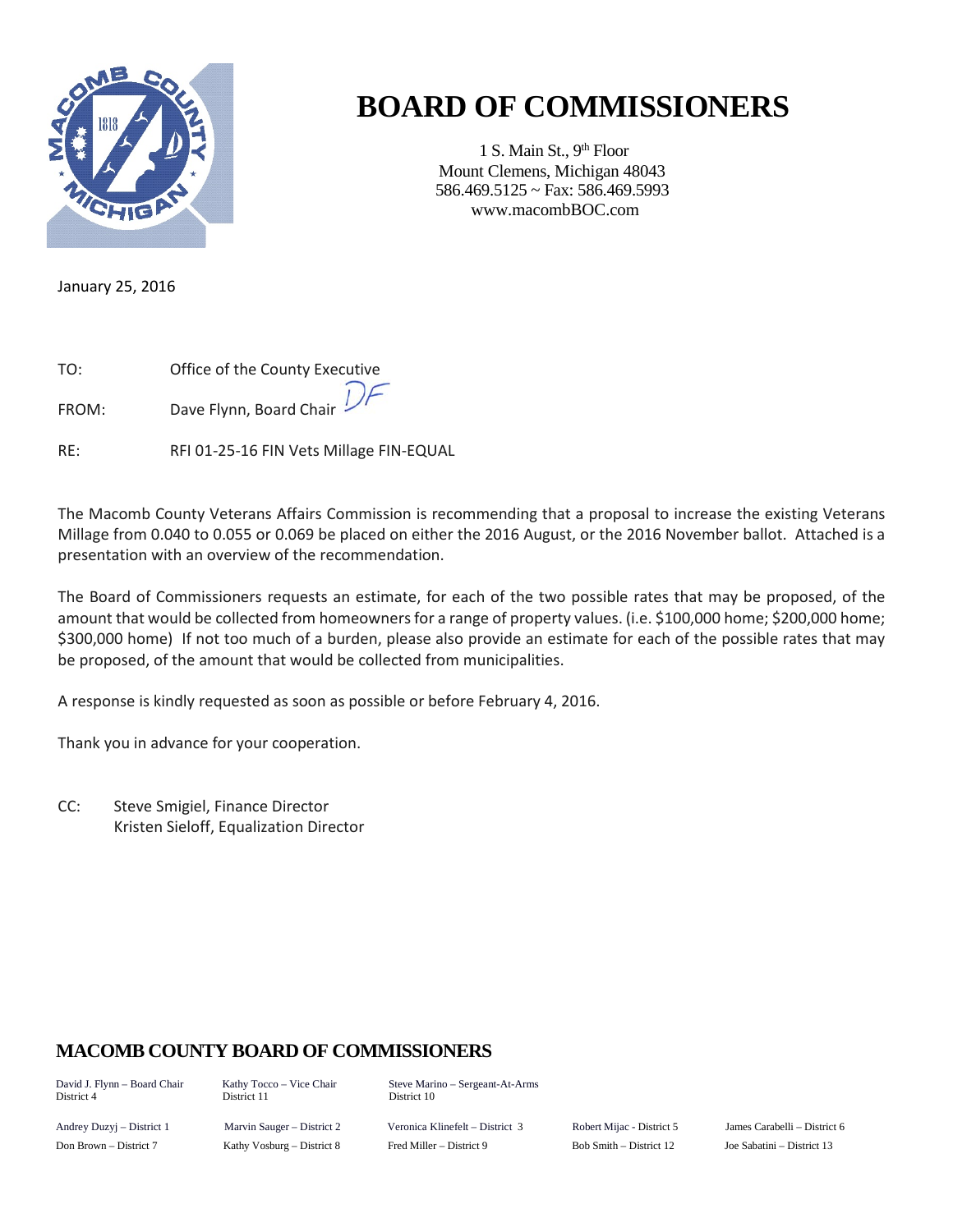

## **BOARD OF COMMISSIONERS**

1 S. Main St., 9<sup>th</sup> Floor Mount Clemens, Michigan 48043 586.469.5125 ~ Fax: 586.469.5993 www.macombBOC.com

January 25, 2016

| TO: | Office of the County Executive |
|-----|--------------------------------|
|     | $\Gamma$                       |

FROM: Dave Flynn, Board Chair

RE: RFI 01-25-16 FIN Vets Millage FIN-EQUAL

The Macomb County Veterans Affairs Commission is recommending that a proposal to increase the existing Veterans Millage from 0.040 to 0.055 or 0.069 be placed on either the 2016 August, or the 2016 November ballot. Attached is a presentation with an overview of the recommendation.

The Board of Commissioners requests an estimate, for each of the two possible rates that may be proposed, of the amount that would be collected from homeowners for a range of property values. (i.e. \$100,000 home; \$200,000 home; \$300,000 home) If not too much of a burden, please also provide an estimate for each of the possible rates that may be proposed, of the amount that would be collected from municipalities.

A response is kindly requested as soon as possible or before February 4, 2016.

Thank you in advance for your cooperation.

CC: Steve Smigiel, Finance Director Kristen Sieloff, Equalization Director

## **MACOMB COUNTY BOARD OF COMMISSIONERS**

District 4

David J. Flynn – Board Chair Kathy Tocco – Vice Chair Steve Marino – Sergeant-At-Arms<br>District 4 District 11 District 10

Andrey Duzyj – District 1 Marvin Sauger – District 2 Veronica Klinefelt – District 3 Robert Mijac - District 5 James Carabelli – District 6 Don Brown – District 7 Kathy Vosburg – District 8 Fred Miller – District 9 Bob Smith – District 12 Joe Sabatini – District 13